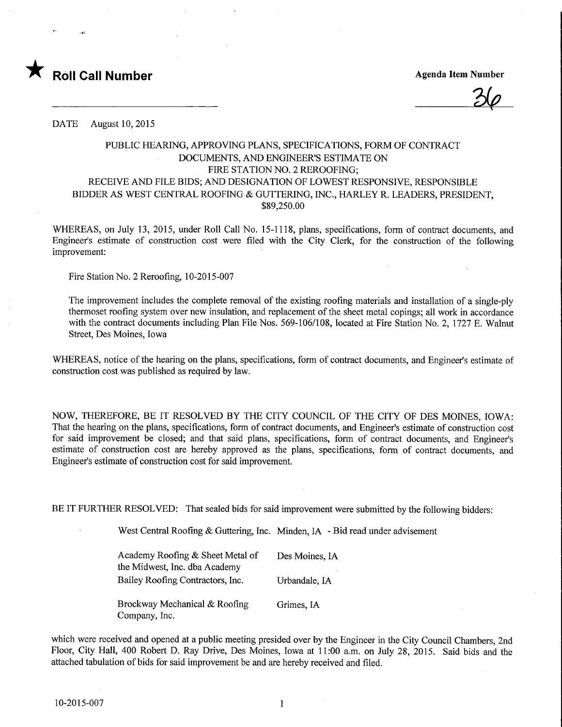

**Agenda Item Number** 

DATE August 10, 2015

## PUBLIC HEARING, APPROVING PLANS, SPECIFICATIONS, FORM OF CONTRACT DOCUMENTS, AND ENGINEER'S ESTIMATE ON FIRE STATION NO. 2 REROOFING; RECEIVE AND FILE BIDS; AND DESIGNATION OF LOWEST RESPONSIVE, RESPONSIBLE BIDDER AS WEST CENTRAL ROOFING & GUTTERING, INC., HARLEY R. LEADERS, PRESIDENT, \$89,250.00

WHEREAS, on July 13, 2015, under Roll Call No. 15-1118, plans, specifications, form of contract documents, and Engineer's estimate of construction cost were filed with the City Clerk, for the construction of the following improvement:

Fire Station No. 2 Reroofing, 10-2015-007

The improvement includes the complete removal of the existing roofing materials and installation of a single-ply thermoset roofing system over new insulation, and replacement of the sheet metal copings; all work in accordance with the contract documents including Plan File Nos. 569-106/108, located at Fire Station No. 2, 1727 E. Walnut Street, Des Moines, Iowa

WHEREAS, notice of the hearing on the plans, specifications, form of contract documents, and Engineer's estimate of construction cost was published as required by law.

NOW, THEREFORE, BE IT RESOLVED BY THE CITY COUNCIL OF THE CITY OF DES MOINES, IOWA: That the hearing on the plans, specifications, form of contract documents, and Engineer's estimate of construction cost for said improvement be closed; and that said plans, specifications, form of contract documents, and Engineer's estimate of construction cost are hereby approved as the plans, specifications, form of contract documents, and Engineer's estimate of construction cost for said improvement.

BE IT FURTHER RESOLVED: That sealed bids for said improvement were submitted by the following bidders:

West Central Roofing & Guttering, Inc. Minden, IA - Bid read under advisement

Academy Roofing & Sheet Metal of Des Moines, IA the Midwest, Inc. dba Academy Bailey Roofing Contractors, Inc. Urbandale, IA

Brockway Mechanical & Roofing Grimes, IA Company, Inc.

which were received and opened at a public meeting presided over by the Engineer in the City Council Chambers, 2nd Floor, City Hall, 400 Robert D. Ray Drive, Des Moines, Iowa at 11:00 a.m. on July 28, 2015. Said bids and the attached tabulation of bids for said improvement be and are hereby received and filed.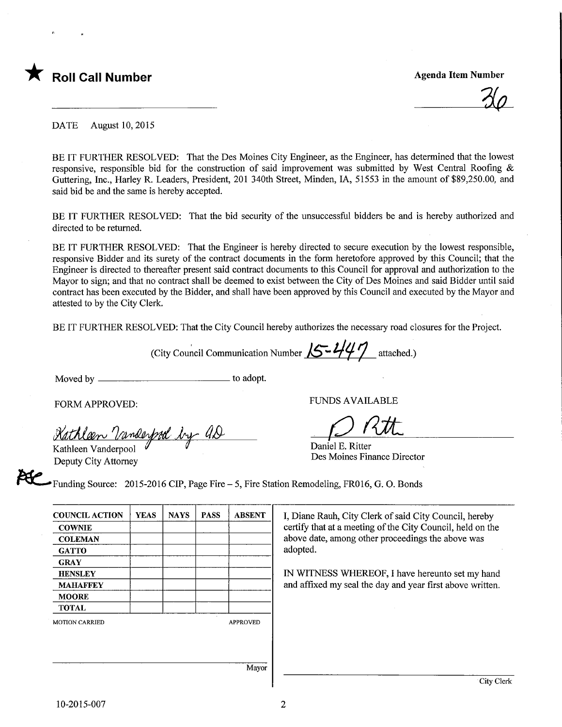

 $\mathcal{Z}\!\!\left\langle \mathcal{Q}\right\rangle$ 

DATE August 10, 2015

BE IT FURTHER RESOLVED: That the Des Moines City Engineer, as the Engineer, has determined that the lowest responsive, responsible bid for the construction of said improvement was submitted by West Central Roofing & Guttering, Inc., Hariey R. Leaders, President, 201 340th Street, Minden, IA, 51553 in the amount of \$89,250.00, and said bid be and the same is hereby accepted.

BE IT FURTHER RESOLVED: That the bid security of the unsuccessful bidders be and is hereby authorized and directed to be returned.

BE IT FURTHER RESOLVED: That the Engineer is hereby directed to secure execution by the lowest responsible, responsive Bidder and its surety of the contract documents in the form heretofore approved by this Council; that the Engineer is directed to thereafter present said contract documents to this Council for approval and authorization to the Mayor to sign; and that no contract shall be deemed to exist between the City of Des Moines and said Bidder until said contract has been executed by the Bidder, and shall have been approved by this Council and executed by the Mayor and attested to by the City Clerk.

BE IT FURTHER RESOLVED: That the City Council hereby authorizes the necessary road closures for the Project.

(City Council Communication Number  $\sqrt{5 - 447}$  attached.)

Moved by to adopt.

FORM APPROVED:

<u>Kathleen Vanderpool by AD</u>

Deputy City Attorney

FUNDS AVAILABLE<br>Daniel E. Ritter

Daniel E. Ritter Des Moines Finance Director

Funding Source: 2015-2016 CIP, Page Fire - 5, Fire Station Remodeling, FR016, G. 0. Bonds

| <b>COUNCIL ACTION</b> | <b>YEAS</b> | <b>NAYS</b> | <b>PASS</b> | <b>ABSENT</b>   |
|-----------------------|-------------|-------------|-------------|-----------------|
| <b>COWNIE</b>         |             |             |             |                 |
| <b>COLEMAN</b>        |             |             |             |                 |
| <b>GATTO</b>          |             |             |             |                 |
| <b>GRAY</b>           |             |             |             |                 |
| <b>HENSLEY</b>        |             |             |             |                 |
| <b>MAHAFFEY</b>       |             |             |             |                 |
| <b>MOORE</b>          |             |             |             |                 |
| <b>TOTAL</b>          |             |             |             |                 |
| <b>MOTION CARRIED</b> |             |             |             | <b>APPROVED</b> |
|                       |             |             |             | - -             |

I, Diane Rauh, City Clerk of said City Council, hereby certify that at a meeting of the City Council, held on the above date, among other proceedings the above was adopted.

IN WITNESS WHEREOF, I have hereunto set my hand and affixed my seal the day and year first above written.